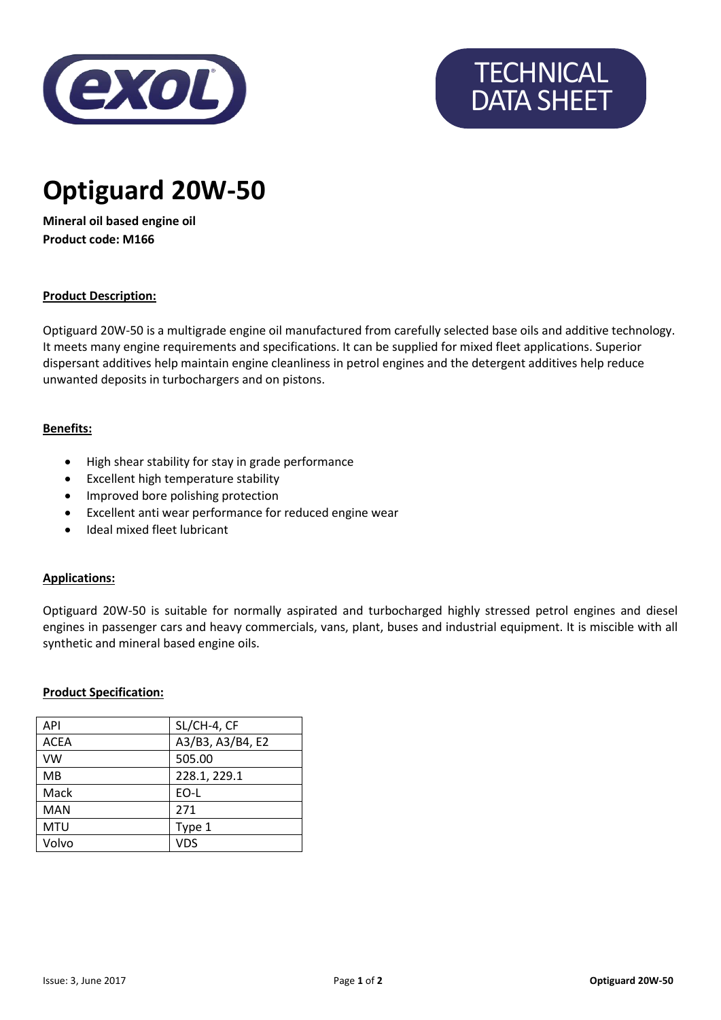

# **TECHNICAL** DATA SHEET

# **Optiguard 20W-50**

**Mineral oil based engine oil Product code: M166**

# **Product Description:**

Optiguard 20W-50 is a multigrade engine oil manufactured from carefully selected base oils and additive technology. It meets many engine requirements and specifications. It can be supplied for mixed fleet applications. Superior dispersant additives help maintain engine cleanliness in petrol engines and the detergent additives help reduce unwanted deposits in turbochargers and on pistons.

# **Benefits:**

- High shear stability for stay in grade performance
- Excellent high temperature stability
- Improved bore polishing protection
- Excellent anti wear performance for reduced engine wear
- Ideal mixed fleet lubricant

#### **Applications:**

Optiguard 20W-50 is suitable for normally aspirated and turbocharged highly stressed petrol engines and diesel engines in passenger cars and heavy commercials, vans, plant, buses and industrial equipment. It is miscible with all synthetic and mineral based engine oils.

#### **Product Specification:**

| <b>API</b>  | SL/CH-4, CF      |
|-------------|------------------|
| <b>ACEA</b> | A3/B3, A3/B4, E2 |
| <b>VW</b>   | 505.00           |
| <b>MB</b>   | 228.1, 229.1     |
| Mack        | EO-L             |
| <b>MAN</b>  | 271              |
| <b>MTU</b>  | Type 1           |
| Volvo       | <b>VDS</b>       |